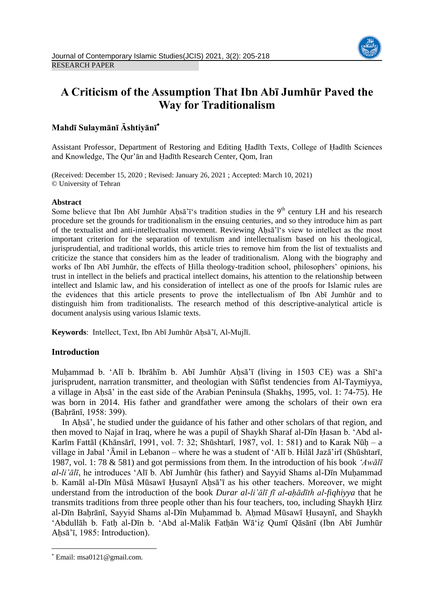

# **A Criticism of the Assumption That Ibn Abī Jumhūr Paved the Way for Traditionalism**

# **Mahdī Sulaymānī Āshtiyānī**

Assistant Professor, Department of Restoring and Editing Ḥadīth Texts, College of Ḥadīth Sciences and Knowledge, The Qur'ān and Ḥadīth Research Center, Qom, Iran

(Received: December 15, 2020 ; Revised: January 26, 2021 ; Accepted: March 10, 2021) © University of Tehran

#### **Abstract**

Some believe that Ibn Abī Jumhūr Aḥsā'ī's tradition studies in the  $9<sup>th</sup>$  century LH and his research procedure set the grounds for traditionalism in the ensuing centuries, and so they introduce him as part of the textualist and anti-intellectualist movement. Reviewing Ahsa'<sup>T</sup>'s view to intellect as the most important criterion for the separation of textulism and intellectualism based on his theological, jurisprudential, and traditional worlds, this article tries to remove him from the list of textualists and criticize the stance that considers him as the leader of traditionalism. Along with the biography and works of Ibn Abī Jumhūr, the effects of Hilla theology-tradition school, philosophers' opinions, his trust in intellect in the beliefs and practical intellect domains, his attention to the relationship between intellect and Islamic law, and his consideration of intellect as one of the proofs for Islamic rules are the evidences that this article presents to prove the intellectualism of Ibn Abī Jumhūr and to distinguish him from traditionalists. The research method of this descriptive-analytical article is document analysis using various Islamic texts.

Keywords: Intellect, Text, Ibn Abī Jumhūr Ahsā'ī, Al-Muilī.

# **Introduction**

Muhammad b. 'Alī b. Ibrāhīm b. Abī Jumhūr Ahsā'ī (living in 1503 CE) was a Shī'a jurisprudent, narration transmitter, and theologian with Sūfīst tendencies from Al-Taymiyya, a village in Aḥsā' in the east side of the Arabian Peninsula (Shakhṣ, 1995, vol. 1: 74-75). He was born in 2014. His father and grandfather were among the scholars of their own era (Baḥrānī, 1958: 399).

In Ahsa', he studied under the guidance of his father and other scholars of that region, and then moved to Najaf in Iraq, where he was a pupil of Shaykh Sharaf al-Dīn Ḥasan b. 'Abd al-Karīm Fattāl (Khānsārī, 1991, vol. 7: 32; Shūshtarī, 1987, vol. 1: 581) and to Karak Nūḥ – a village in Jabal 'Āmil in Lebanon – where he was a student of 'Alī b. Hilāl Jazā'irī (Shūshtarī, 1987, vol. 1: 78 & 581) and got permissions from them. In the introduction of his book *'Awālī al-li'ālī*, he introduces 'Alī b. Abī Jumhūr (his father) and Sayyid Shams al-Dīn Muḥammad b. Kamāl al-Dīn Mūsā Mūsawī Husaynī Ahsā'ī as his other teachers. Moreover, we might understand from the introduction of the book *Durar al-li'ālī fī al-aḥādīth al-fiqhiyya* that he transmits traditions from three people other than his four teachers, too, including Shaykh Ḥirz al-Dīn Bahrānī, Sayyid Shams al-Dīn Muhammad b. Ahmad Mūsawī Husaynī, and Shaykh 'Abdullāh b. Fatḥ al-Dīn b. 'Abd al-Malik Fatḥān Wā'iẓ Qumī Qāsānī (Ibn Abī Jumhūr Ahsā'ī, 1985: Introduction).

**.** 

Email: msa0121@gmail.com.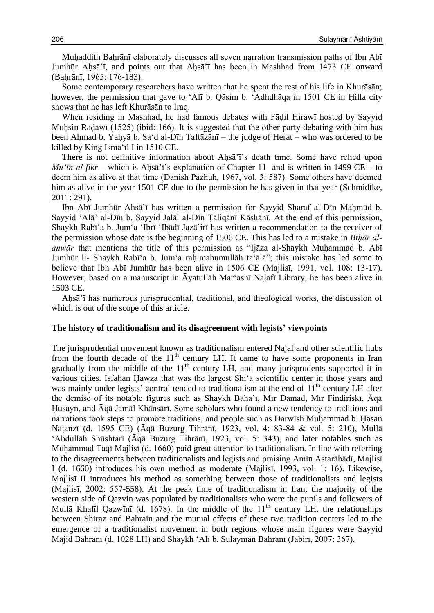Muhaddith Bahrānī elaborately discusses all seven narration transmission paths of Ibn Abī Jumhūr Ahsā'ī, and points out that Ahsā'ī has been in Mashhad from 1473 CE onward (Baḥrānī, 1965: 176-183).

Some contemporary researchers have written that he spent the rest of his life in Khurāsān; however, the permission that gave to 'Alī b. Qāsim b. 'Adhdhāqa in 1501 CE in Ḥilla city shows that he has left Khurāsān to Iraq.

When residing in Mashhad, he had famous debates with Fādil Hirawī hosted by Sayyid Muḥsin Raḍawī (1525) (ibid: 166). It is suggested that the other party debating with him has been Aḥmad b. Yaḥyā b. Sa'd al-Dīn Taftāzānī – the judge of Herat – who was ordered to be killed by King Ismā'īl I in 1510 CE.

There is not definitive information about Ahsa'<sup>7</sup>'s death time. Some have relied upon *Mu'in al-fikr* – which is Ahsa'<sup> $i$ </sup>'s explanation of Chapter 11 and is written in 1499 CE – to deem him as alive at that time (Dānish Pazhūh, 1967, vol. 3: 587). Some others have deemed him as alive in the year 1501 CE due to the permission he has given in that year (Schmidtke, 2011: 291).

Ibn Abī Jumhūr Ahsā'ī has written a permission for Sayyid Sharaf al-Dīn Mahmūd b. Sayyid 'Alā' al-Dīn b. Sayyid Jalāl al-Dīn Ṭāliqānī Kāshānī. At the end of this permission, Shaykh Rabī'a b. Jum'a 'Ibrī 'Ibādī Jazā'irī has written a recommendation to the receiver of the permission whose date is the beginning of 1506 CE. This has led to a mistake in *Biḥār alanwār* that mentions the title of this permission as "Ijāza al-Shaykh Muḥammad b. Abī Jumhūr li- Shaykh Rabī'a b. Jum'a raḥimahumullāh ta'ālā"; this mistake has led some to believe that Ibn Abī Jumhūr has been alive in 1506 CE (Majlisī, 1991, vol. 108: 13-17). However, based on a manuscript in Āyatullāh Mar'ashī Najafī Library, he has been alive in 1503 CE.

Aḥsā'ī has numerous jurisprudential, traditional, and theological works, the discussion of which is out of the scope of this article.

#### **The history of traditionalism and its disagreement with legists' viewpoints**

The jurisprudential movement known as traditionalism entered Najaf and other scientific hubs from the fourth decade of the  $11<sup>th</sup>$  century LH. It came to have some proponents in Iran gradually from the middle of the  $11<sup>th</sup>$  century LH, and many jurisprudents supported it in various cities. Isfahan Ḥawza that was the largest Shī'a scientific center in those years and was mainly under legists' control tended to traditionalism at the end of 11<sup>th</sup> century LH after the demise of its notable figures such as Shaykh Bahā'ī, Mīr Dāmād, Mīr Findiriskī, Āqā Ḥusayn, and Āqā Jamāl Khānsārī. Some scholars who found a new tendency to traditions and narrations took steps to promote traditions, and people such as Darwīsh Muhammad b. Hasan Naṭanzī (d. 1595 CE) (Āqā Buzurg Tihrānī, 1923, vol. 4: 83-84 & vol. 5: 210), Mullā 'Abdullāh Shūshtarī (Āqā Buzurg Tihrānī, 1923, vol. 5: 343), and later notables such as Muḥammad Taqī Majlisī (d. 1660) paid great attention to traditionalism. In line with referring to the disagreements between traditionalists and legists and praising Amīn Astarābādī, Majlisī I (d. 1660) introduces his own method as moderate (Majlisī, 1993, vol. 1: 16). Likewise, Majlisī II introduces his method as something between those of traditionalists and legists (Majlisī, 2002: 557-558). At the peak time of traditionalism in Iran, the majority of the western side of Qazvin was populated by traditionalists who were the pupils and followers of Mullā Khalīl Qazwīnī (d. 1678). In the middle of the  $11<sup>th</sup>$  century LH, the relationships between Shiraz and Bahrain and the mutual effects of these two tradition centers led to the emergence of a traditionalist movement in both regions whose main figures were Sayyid Mājid Bahrānī (d. 1028 LH) and Shaykh 'Alī b. Sulaymān Bahrānī (Jābirī, 2007: 367).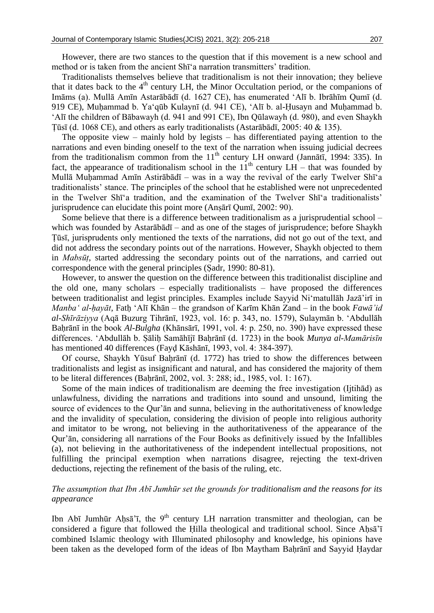However, there are two stances to the question that if this movement is a new school and method or is taken from the ancient Shī'a narration transmitters' tradition.

Traditionalists themselves believe that traditionalism is not their innovation; they believe that it dates back to the  $4<sup>th</sup>$  century LH, the Minor Occultation period, or the companions of Imāms (a). Mullā Amīn Astarābādī (d. 1627 CE), has enumerated 'Alī b. Ibrāhīm Qumī (d. 919 CE), Muḥammad b. Ya'qūb Kulaynī (d. 941 CE), 'Alī b. al-Ḥusayn and Muḥammad b. 'Alī the children of Bābawayh (d. 941 and 991 CE), Ibn Qūlawayh (d. 980), and even Shaykh Ṭūsī (d. 1068 CE), and others as early traditionalists (Astarābādī, 2005: 40 & 135).

The opposite view – mainly hold by legists – has differentiated paying attention to the narrations and even binding oneself to the text of the narration when issuing judicial decrees from the traditionalism common from the  $11<sup>th</sup>$  century LH onward (Jannātī, 1994: 335). In fact, the appearance of traditionalism school in the  $11<sup>th</sup>$  century LH – that was founded by Mullā Muḥammad Amīn Astirābādī – was in a way the revival of the early Twelver Shī'a traditionalists' stance. The principles of the school that he established were not unprecedented in the Twelver Shī'a tradition, and the examination of the Twelver Shī'a traditionalists' jurisprudence can elucidate this point more (Anṣārī Qumī, 2002: 90).

Some believe that there is a difference between traditionalism as a jurisprudential school – which was founded by Astarābādī – and as one of the stages of jurisprudence; before Shaykh Ṭūsī, jurisprudents only mentioned the texts of the narrations, did not go out of the text, and did not address the secondary points out of the narrations. However, Shaykh objected to them in *Mabsūṭ*, started addressing the secondary points out of the narrations, and carried out correspondence with the general principles (Ṣadr, 1990: 80-81).

However, to answer the question on the difference between this traditionalist discipline and the old one, many scholars – especially traditionalists – have proposed the differences between traditionalist and legist principles. Examples include Sayyid Ni'matullāh Jazā'irī in *Manba' al-hayāt*, Fath 'Alī Khān – the grandson of Karīm Khān Zand – in the book *Fawā'id al-Shīrāziyya* (Aqā Buzurg Tihrānī, 1923, vol. 16: p. 343, no. 1579), Sulaymān b. 'Abdullāh Baḥrānī in the book *Al-Bulgha* (Khānsārī, 1991, vol. 4: p. 250, no. 390) have expressed these differences. 'Abdullāh b. Ṣāliḥ Samāhījī Baḥrānī (d. 1723) in the book *Munya al-Mamārisīn* has mentioned 40 differences (Fayḍ Kāshānī, 1993, vol. 4: 384-397).

Of course, Shaykh Yūsuf Bahrānī (d. 1772) has tried to show the differences between traditionalists and legist as insignificant and natural, and has considered the majority of them to be literal differences (Bahrānī, 2002, vol. 3: 288; id., 1985, vol. 1: 167).

Some of the main indices of traditionalism are deeming the free investigation (Ijtihād) as unlawfulness, dividing the narrations and traditions into sound and unsound, limiting the source of evidences to the Qur'ān and sunna, believing in the authoritativeness of knowledge and the invalidity of speculation, considering the division of people into religious authority and imitator to be wrong, not believing in the authoritativeness of the appearance of the Qur'ān, considering all narrations of the Four Books as definitively issued by the Infallibles (a), not believing in the authoritativeness of the independent intellectual propositions, not fulfilling the principal exemption when narrations disagree, rejecting the text-driven deductions, rejecting the refinement of the basis of the ruling, etc.

### *The assumption that Ibn Abī Jumhūr set the grounds for traditionalism and the reasons for its appearance*

Ibn Abī Jumhūr Aḥsā'ī, the 9<sup>th</sup> century LH narration transmitter and theologian, can be considered a figure that followed the Ḥilla theological and traditional school. Since Aḥsā'ī combined Islamic theology with Illuminated philosophy and knowledge, his opinions have been taken as the developed form of the ideas of Ibn Maytham Baḥrānī and Sayyid Ḥaydar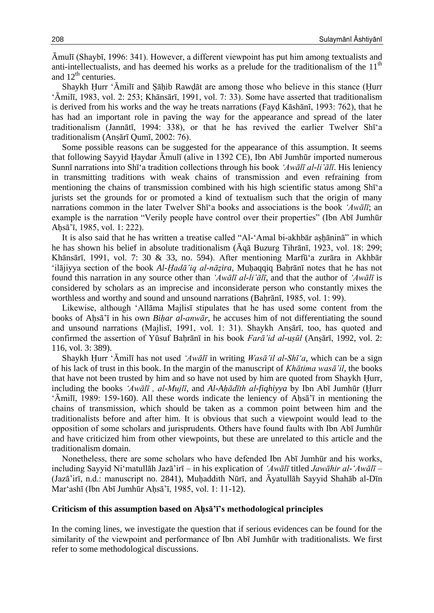Āmulī (Shaybī, 1996: 341). However, a different viewpoint has put him among textualists and anti-intellectualists, and has deemed his works as a prelude for the traditionalism of the  $11<sup>th</sup>$ and  $12<sup>th</sup>$  centuries.

Shaykh Hurr 'Āmilī and Sāhib Rawdāt are among those who believe in this stance (Hurr 'Āmilī, 1983, vol. 2: 253; Khānsārī, 1991, vol. 7: 33). Some have asserted that traditionalism is derived from his works and the way he treats narrations (Fayḍ Kāshānī, 1993: 762), that he has had an important role in paving the way for the appearance and spread of the later traditionalism (Jannātī, 1994: 338), or that he has revived the earlier Twelver Shī'a traditionalism (Anṣārī Qumī, 2002: 76).

Some possible reasons can be suggested for the appearance of this assumption. It seems that following Sayyid Ḥaydar Āmulī (alive in 1392 CE), Ibn Abī Jumhūr imported numerous Sunnī narrations into Shī'a tradition collections through his book *'Awālī al-li'ālī*. His leniency in transmitting traditions with weak chains of transmission and even refraining from mentioning the chains of transmission combined with his high scientific status among Shī'a jurists set the grounds for or promoted a kind of textualism such that the origin of many narrations common in the later Twelver Shī'a books and associations is the book *'Awālī*; an example is the narration "Verily people have control over their properties" (Ibn Abī Jumhūr Aḥsā'ī, 1985, vol. 1: 222).

It is also said that he has written a treatise called "Al-'Amal bi-akhbār aṣḥāninā" in which he has shown his belief in absolute traditionalism (Āqā Buzurg Tihrānī, 1923, vol. 18: 299; Khānsārī, 1991, vol. 7: 30 & 33, no. 594). After mentioning Marfū'a zurāra in Akhbār 'ilājiyya section of the book *Al-Ḥadā'iq al-nāẓira*, Muḥaqqiq Baḥrānī notes that he has not found this narration in any source other than *'Awālī al-li'ālī*, and that the author of *'Awālī* is considered by scholars as an imprecise and inconsiderate person who constantly mixes the worthless and worthy and sound and unsound narrations (Baḥrānī, 1985, vol. 1: 99).

Likewise, although 'Allāma Majlisī stipulates that he has used some content from the books of Ahsa<sup>'</sup><sub>i</sub> in his own *Bihar al-anwār*, he accuses him of not differentiating the sound and unsound narrations (Majlisī, 1991, vol. 1: 31). Shaykh Anṣārī, too, has quoted and confirmed the assertion of Yūsuf Baḥrānī in his book *Farā'id al-uṣūl* (Anṣārī, 1992, vol. 2: 116, vol. 3: 389).

Shaykh Ḥurr 'Āmilī has not used *'Awālī* in writing *Wasā'il al-Shī'a*, which can be a sign of his lack of trust in this book. In the margin of the manuscript of *Khātima wasā'il*, the books that have not been trusted by him and so have not used by him are quoted from Shaykh Ḥurr, including the books *'Awālī , al-Mujlī*, and *Al-Aḥādīth al-fiqhiyya* by Ibn Abī Jumhūr (Ḥurr 'Āmilī, 1989: 159-160). All these words indicate the leniency of Aḥsā'ī in mentioning the chains of transmission, which should be taken as a common point between him and the traditionalists before and after him. It is obvious that such a viewpoint would lead to the opposition of some scholars and jurisprudents. Others have found faults with Ibn Abī Jumhūr and have criticized him from other viewpoints, but these are unrelated to this article and the traditionalism domain.

Nonetheless, there are some scholars who have defended Ibn Abī Jumhūr and his works, including Sayyid Ni'matullāh Jazā'irī – in his explication of *'Awālī* titled *Jawāhir al-'Awālī* – (Jazā'irī, n.d.: manuscript no. 2841), Muḥaddith Nūrī, and Āyatullāh Sayyid Shahāb al-Dīn Mar'ashī (Ibn Abī Jumhūr Aḥsā'ī, 1985, vol. 1: 11-12).

#### **Criticism of this assumption based on Aḥsā'ī's methodological principles**

In the coming lines, we investigate the question that if serious evidences can be found for the similarity of the viewpoint and performance of Ibn Abī Jumhūr with traditionalists. We first refer to some methodological discussions.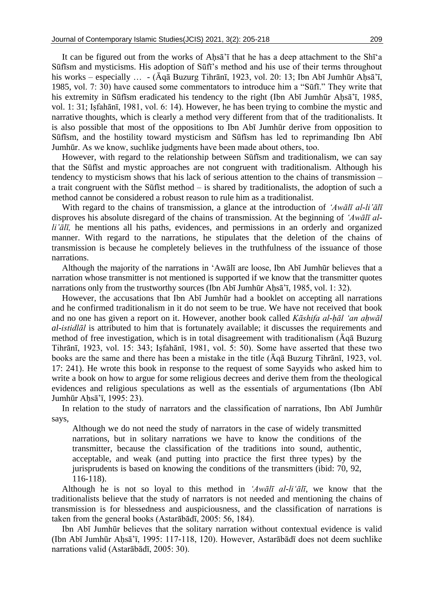It can be figured out from the works of Ahsa'<sup> $\dagger$ </sup> that he has a deep attachment to the Sh $\bar{1}$ 'a Sūfīsm and mysticisms. His adoption of Sūfī's method and his use of their terms throughout his works – especially … - (Āqā Buzurg Tihrānī, 1923, vol. 20: 13; Ibn Abī Jumhūr Aḥsā'ī, 1985, vol. 7: 30) have caused some commentators to introduce him a "Sūfī." They write that his extremity in Sūfīsm eradicated his tendency to the right (Ibn Abī Jumhūr Aḥsā'ī, 1985, vol. 1: 31; Iṣfahānī, 1981, vol. 6: 14). However, he has been trying to combine the mystic and narrative thoughts, which is clearly a method very different from that of the traditionalists. It is also possible that most of the oppositions to Ibn Abī Jumhūr derive from opposition to Sūfīsm, and the hostility toward mysticism and Sūfīsm has led to reprimanding Ibn Abī Jumhūr. As we know, suchlike judgments have been made about others, too.

However, with regard to the relationship between Sūfīsm and traditionalism, we can say that the Sūfīst and mystic approaches are not congruent with traditionalism. Although his tendency to mysticism shows that his lack of serious attention to the chains of transmission – a trait congruent with the Sūfīst method – is shared by traditionalists, the adoption of such a method cannot be considered a robust reason to rule him as a traditionalist.

With regard to the chains of transmission, a glance at the introduction of *'Awālī al-li'ālī* disproves his absolute disregard of the chains of transmission. At the beginning of *'Awālī alli'ālī,* he mentions all his paths, evidences, and permissions in an orderly and organized manner. With regard to the narrations, he stipulates that the deletion of the chains of transmission is because he completely believes in the truthfulness of the issuance of those narrations.

Although the majority of the narrations in 'Awālī are loose, Ibn Abī Jumhūr believes that a narration whose transmitter is not mentioned is supported if we know that the transmitter quotes narrations only from the trustworthy sources (Ibn Abī Jumhūr Aḥsā'ī, 1985, vol. 1: 32).

However, the accusations that Ibn Abī Jumhūr had a booklet on accepting all narrations and he confirmed traditionalism in it do not seem to be true. We have not received that book and no one has given a report on it. However, another book called *Kāshifa al-ḥāl 'an aḥwāl al-istidlāl* is attributed to him that is fortunately available; it discusses the requirements and method of free investigation, which is in total disagreement with traditionalism (Āqā Buzurg Tihrānī, 1923, vol. 15: 343; Iṣfahānī, 1981, vol. 5: 50). Some have asserted that these two books are the same and there has been a mistake in the title (Āqā Buzurg Tihrānī, 1923, vol. 17: 241). He wrote this book in response to the request of some Sayyids who asked him to write a book on how to argue for some religious decrees and derive them from the theological evidences and religious speculations as well as the essentials of argumentations (Ibn Abī Jumhūr Aḥsā'ī, 1995: 23).

In relation to the study of narrators and the classification of narrations, Ibn Abī Jumhūr says,

Although we do not need the study of narrators in the case of widely transmitted narrations, but in solitary narrations we have to know the conditions of the transmitter, because the classification of the traditions into sound, authentic, acceptable, and weak (and putting into practice the first three types) by the jurisprudents is based on knowing the conditions of the transmitters (ibid: 70, 92, 116-118).

Although he is not so loyal to this method in *'Awālī al-li'ālī*, we know that the traditionalists believe that the study of narrators is not needed and mentioning the chains of transmission is for blessedness and auspiciousness, and the classification of narrations is taken from the general books (Astarābādī, 2005: 56, 184).

Ibn Abī Jumhūr believes that the solitary narration without contextual evidence is valid (Ibn Abī Jumhūr Aḥsā'ī, 1995: 117-118, 120). However, Astarābādī does not deem suchlike narrations valid (Astarābādī, 2005: 30).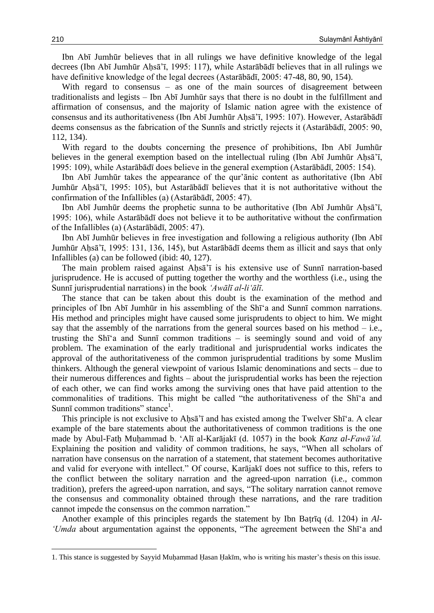Ibn Abī Jumhūr believes that in all rulings we have definitive knowledge of the legal decrees (Ibn Abī Jumhūr Aḥsā'ī, 1995: 117), while Astarābādī believes that in all rulings we have definitive knowledge of the legal decrees (Astarābādī, 2005: 47-48, 80, 90, 154).

With regard to consensus – as one of the main sources of disagreement between traditionalists and legists – Ibn Abī Jumhūr says that there is no doubt in the fulfillment and affirmation of consensus, and the majority of Islamic nation agree with the existence of consensus and its authoritativeness (Ibn Abī Jumhūr Ahsā'ī, 1995: 107). However, Astarābādī deems consensus as the fabrication of the Sunnīs and strictly rejects it (Astarābādī, 2005: 90, 112, 134).

With regard to the doubts concerning the presence of prohibitions, Ibn Abī Jumhūr believes in the general exemption based on the intellectual ruling (Ibn Abī Jumhūr Ahsā'ī, 1995: 109), while Astarābādī does believe in the general exemption (Astarābādī, 2005: 154).

Ibn Abī Jumhūr takes the appearance of the qur'ānic content as authoritative (Ibn Abī Jumhūr Ahsā'ī, 1995: 105), but Astarābādī believes that it is not authoritative without the confirmation of the Infallibles (a) (Astarābādī, 2005: 47).

Ibn Abī Jumhūr deems the prophetic sunna to be authoritative (Ibn Abī Jumhūr Ahsā'ī, 1995: 106), while Astarābādī does not believe it to be authoritative without the confirmation of the Infallibles (a) (Astarābādī, 2005: 47).

Ibn Abī Jumhūr believes in free investigation and following a religious authority (Ibn Abī Jumhūr Aḥsā'ī, 1995: 131, 136, 145), but Astarābādī deems them as illicit and says that only Infallibles (a) can be followed (ibid: 40, 127).

The main problem raised against Ahsa'i is his extensive use of Sunni narration-based jurisprudence. He is accused of putting together the worthy and the worthless (i.e., using the Sunnī jurisprudential narrations) in the book *'Awālī al-li'ālī*.

The stance that can be taken about this doubt is the examination of the method and principles of Ibn Abī Jumhūr in his assembling of the Shī'a and Sunnī common narrations. His method and principles might have caused some jurisprudents to object to him. We might say that the assembly of the narrations from the general sources based on his method  $-$  i.e., trusting the Shī'a and Sunnī common traditions – is seemingly sound and void of any problem. The examination of the early traditional and jurisprudential works indicates the approval of the authoritativeness of the common jurisprudential traditions by some Muslim thinkers. Although the general viewpoint of various Islamic denominations and sects – due to their numerous differences and fights – about the jurisprudential works has been the rejection of each other, we can find works among the surviving ones that have paid attention to the commonalities of traditions. This might be called "the authoritativeness of the Shī'a and Sunnī common traditions" stance<sup>1</sup>.

This principle is not exclusive to Ahsa'ī and has existed among the Twelver Shī'a. A clear example of the bare statements about the authoritativeness of common traditions is the one made by Abul-Fatḥ Muḥammad b. 'Alī al-Karājakī (d. 1057) in the book *Kanz al-Fawā'id.* Explaining the position and validity of common traditions, he says, "When all scholars of narration have consensus on the narration of a statement, that statement becomes authoritative and valid for everyone with intellect." Of course, Karājakī does not suffice to this, refers to the conflict between the solitary narration and the agreed-upon narration (i.e., common tradition), prefers the agreed-upon narration, and says, "The solitary narration cannot remove the consensus and commonality obtained through these narrations, and the rare tradition cannot impede the consensus on the common narration."

Another example of this principles regards the statement by Ibn Baṭrīq (d. 1204) in *Al- 'Umda* about argumentation against the opponents, "The agreement between the Shī'a and

**.** 

<sup>1.</sup> This stance is suggested by Sayyid Muḥammad Ḥasan Ḥakīm, who is writing his master's thesis on this issue.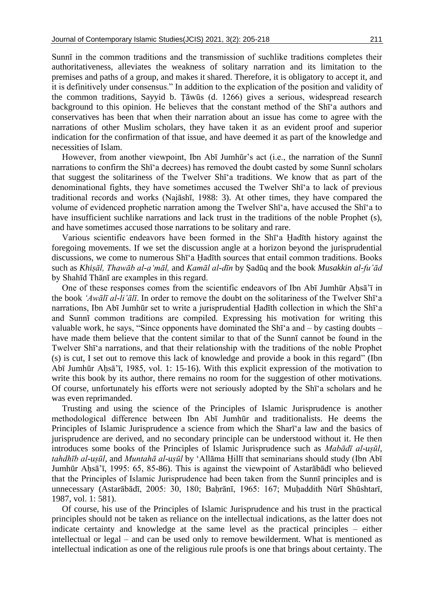Sunnī in the common traditions and the transmission of suchlike traditions completes their authoritativeness, alleviates the weakness of solitary narration and its limitation to the premises and paths of a group, and makes it shared. Therefore, it is obligatory to accept it, and it is definitively under consensus." In addition to the explication of the position and validity of the common traditions, Sayyid b. Ṭāwūs (d. 1266) gives a serious, widespread research background to this opinion. He believes that the constant method of the Shī'a authors and conservatives has been that when their narration about an issue has come to agree with the narrations of other Muslim scholars, they have taken it as an evident proof and superior indication for the confirmation of that issue, and have deemed it as part of the knowledge and necessities of Islam.

However, from another viewpoint, Ibn Abī Jumhūr's act (i.e., the narration of the Sunnī narrations to confirm the Shī'a decrees) has removed the doubt casted by some Sunnī scholars that suggest the solitariness of the Twelver Shī'a traditions. We know that as part of the denominational fights, they have sometimes accused the Twelver Shī'a to lack of previous traditional records and works (Najāshī, 1988: 3). At other times, they have compared the volume of evidenced prophetic narration among the Twelver Shī'a, have accused the Shī'a to have insufficient suchlike narrations and lack trust in the traditions of the noble Prophet (s), and have sometimes accused those narrations to be solitary and rare.

Various scientific endeavors have been formed in the Shī'a Ḥadīth history against the foregoing movements. If we set the discussion angle at a horizon beyond the jurisprudential discussions, we come to numerous Shī'a Ḥadīth sources that entail common traditions. Books such as *Khiṣāl, Thawāb al-a'māl,* and *Kamāl al-dīn* by Ṣadūq and the book *Musakkin al-fu'ād* by Shahīd Thānī are examples in this regard.

One of these responses comes from the scientific endeavors of Ibn Abī Jumhūr Aḥsā'ī in the book *'Awālī al-li'ālī*. In order to remove the doubt on the solitariness of the Twelver Shī'a narrations, Ibn Abī Jumhūr set to write a jurisprudential Ḥadīth collection in which the Shī'a and Sunnī common traditions are compiled. Expressing his motivation for writing this valuable work, he says, "Since opponents have dominated the Shī'a and – by casting doubts – have made them believe that the content similar to that of the Sunnī cannot be found in the Twelver Shī'a narrations, and that their relationship with the traditions of the noble Prophet (s) is cut, I set out to remove this lack of knowledge and provide a book in this regard" (Ibn Abī Jumhūr Aḥsā'ī, 1985, vol. 1: 15-16). With this explicit expression of the motivation to write this book by its author, there remains no room for the suggestion of other motivations. Of course, unfortunately his efforts were not seriously adopted by the Shī'a scholars and he was even reprimanded.

Trusting and using the science of the Principles of Islamic Jurisprudence is another methodological difference between Ibn Abī Jumhūr and traditionalists. He deems the Principles of Islamic Jurisprudence a science from which the Sharī'a law and the basics of jurisprudence are derived, and no secondary principle can be understood without it. He then introduces some books of the Principles of Islamic Jurisprudence such as *Mabādī al-uṣūl*, *tahdhīb al-uṣūl*, and *Muntahā al-uṣūl* by 'Allāma Ḥillī that seminarians should study (Ibn Abī Jumhūr Aḥsā'ī, 1995: 65, 85-86). This is against the viewpoint of Astarābādī who believed that the Principles of Islamic Jurisprudence had been taken from the Sunnī principles and is unnecessary (Astarābādī, 2005: 30, 180; Baḥrānī, 1965: 167; Muḥaddith Nūrī Shūshtarī, 1987, vol. 1: 581).

Of course, his use of the Principles of Islamic Jurisprudence and his trust in the practical principles should not be taken as reliance on the intellectual indications, as the latter does not indicate certainty and knowledge at the same level as the practical principles – either intellectual or legal – and can be used only to remove bewilderment. What is mentioned as intellectual indication as one of the religious rule proofs is one that brings about certainty. The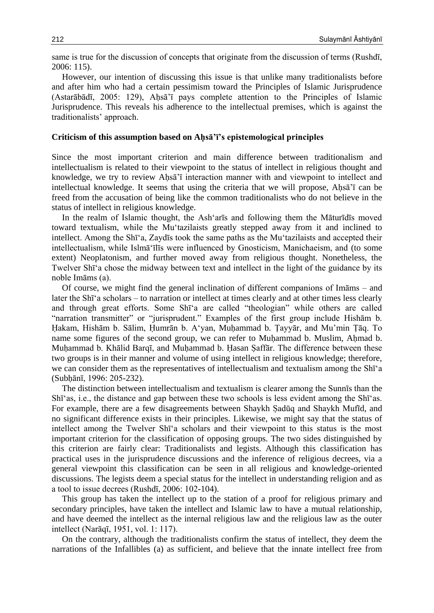same is true for the discussion of concepts that originate from the discussion of terms (Rushdī, 2006: 115).

However, our intention of discussing this issue is that unlike many traditionalists before and after him who had a certain pessimism toward the Principles of Islamic Jurisprudence (Astarābādī, 2005: 129), Aḥsā'ī pays complete attention to the Principles of Islamic Jurisprudence. This reveals his adherence to the intellectual premises, which is against the traditionalists' approach.

#### **Criticism of this assumption based on Aḥsā'ī's epistemological principles**

Since the most important criterion and main difference between traditionalism and intellectualism is related to their viewpoint to the status of intellect in religious thought and knowledge, we try to review Ahsa'i interaction manner with and viewpoint to intellect and intellectual knowledge. It seems that using the criteria that we will propose, Ahsa'i can be freed from the accusation of being like the common traditionalists who do not believe in the status of intellect in religious knowledge.

In the realm of Islamic thought, the Ash'arīs and following them the Māturīdīs moved toward textualism, while the Mu'tazilaists greatly stepped away from it and inclined to intellect. Among the Shī'a, Zaydīs took the same paths as the Mu'tazilaists and accepted their intellectualism, while Islmā'īlīs were influenced by Gnosticism, Manichaeism, and (to some extent) Neoplatonism, and further moved away from religious thought. Nonetheless, the Twelver Shī'a chose the midway between text and intellect in the light of the guidance by its noble Imāms (a).

Of course, we might find the general inclination of different companions of Imāms – and later the Shī'a scholars – to narration or intellect at times clearly and at other times less clearly and through great efforts. Some Shī'a are called "theologian" while others are called "narration transmitter" or "jurisprudent." Examples of the first group include Hishām b. Ḥakam, Hishām b. Sālim, Ḥumrān b. A'yan, Muḥammad b. Ṭayyār, and Mu'min Ṭāq. To name some figures of the second group, we can refer to Muḥammad b. Muslim, Aḥmad b. Muḥammad b. Khālid Barqī, and Muḥammad b. Ḥasan Ṣaffār. The difference between these two groups is in their manner and volume of using intellect in religious knowledge; therefore, we can consider them as the representatives of intellectualism and textualism among the Shī'a (Subḥānī, 1996: 205-232).

The distinction between intellectualism and textualism is clearer among the Sunnīs than the Shī'as, i.e., the distance and gap between these two schools is less evident among the Shī'as. For example, there are a few disagreements between Shaykh Şadūq and Shaykh Mufīd, and no significant difference exists in their principles. Likewise, we might say that the status of intellect among the Twelver Shī'a scholars and their viewpoint to this status is the most important criterion for the classification of opposing groups. The two sides distinguished by this criterion are fairly clear: Traditionalists and legists. Although this classification has practical uses in the jurisprudence discussions and the inference of religious decrees, via a general viewpoint this classification can be seen in all religious and knowledge-oriented discussions. The legists deem a special status for the intellect in understanding religion and as a tool to issue decrees (Rushdī, 2006: 102-104).

This group has taken the intellect up to the station of a proof for religious primary and secondary principles, have taken the intellect and Islamic law to have a mutual relationship, and have deemed the intellect as the internal religious law and the religious law as the outer intellect (Narāqī, 1951, vol. 1: 117).

On the contrary, although the traditionalists confirm the status of intellect, they deem the narrations of the Infallibles (a) as sufficient, and believe that the innate intellect free from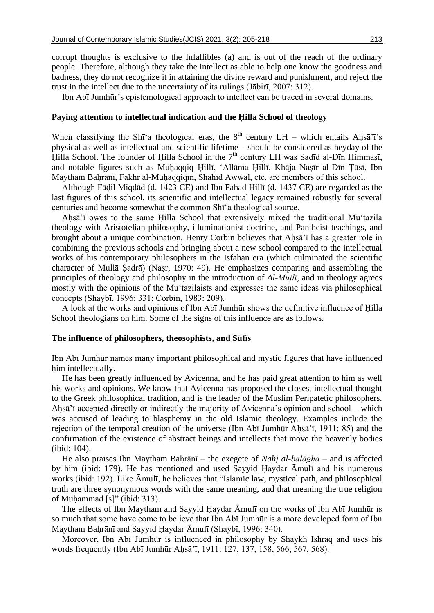corrupt thoughts is exclusive to the Infallibles (a) and is out of the reach of the ordinary people. Therefore, although they take the intellect as able to help one know the goodness and badness, they do not recognize it in attaining the divine reward and punishment, and reject the trust in the intellect due to the uncertainty of its rulings (Jābirī, 2007: 312).

Ibn Abī Jumhūr's epistemological approach to intellect can be traced in several domains.

#### **Paying attention to intellectual indication and the Ḥilla School of theology**

When classifying the Shī'a theological eras, the  $8<sup>th</sup>$  century LH – which entails Aḥsā'ī's physical as well as intellectual and scientific lifetime – should be considered as heyday of the Hilla School. The founder of Hilla School in the 7<sup>th</sup> century LH was Sadīd al-Dīn Himmasī, and notable figures such as Muḥaqqiq Ḥillī, 'Allāma Ḥillī, Khāja Naṣīr al-Dīn Ṭūsī, Ibn Maytham Baḥrānī, Fakhr al-Muḥaqqiqīn, Shahīd Awwal, etc. are members of this school.

Although Fāḍil Miqdād (d. 1423 CE) and Ibn Fahad Ḥillī (d. 1437 CE) are regarded as the last figures of this school, its scientific and intellectual legacy remained robustly for several centuries and become somewhat the common Shī'a theological source.

Aḥsā'ī owes to the same Ḥilla School that extensively mixed the traditional Mu'tazila theology with Aristotelian philosophy, illuminationist doctrine, and Pantheist teachings, and brought about a unique combination. Henry Corbin believes that Aḥsā'ī has a greater role in combining the previous schools and bringing about a new school compared to the intellectual works of his contemporary philosophers in the Isfahan era (which culminated the scientific character of Mullā Ṣadrā) (Naṣr, 1970: 49). He emphasizes comparing and assembling the principles of theology and philosophy in the introduction of *Al-Mujlī*, and in theology agrees mostly with the opinions of the Mu'tazilaists and expresses the same ideas via philosophical concepts (Shaybī, 1996: 331; Corbin, 1983: 209).

A look at the works and opinions of Ibn Abī Jumhūr shows the definitive influence of Ḥilla School theologians on him. Some of the signs of this influence are as follows.

#### **The influence of philosophers, theosophists, and Sūfīs**

Ibn Abī Jumhūr names many important philosophical and mystic figures that have influenced him intellectually.

He has been greatly influenced by Avicenna, and he has paid great attention to him as well his works and opinions. We know that Avicenna has proposed the closest intellectual thought to the Greek philosophical tradition, and is the leader of the Muslim Peripatetic philosophers. Ahsa'i accepted directly or indirectly the majority of Avicenna's opinion and school – which was accused of leading to blasphemy in the old Islamic theology. Examples include the rejection of the temporal creation of the universe (Ibn Abī Jumhūr Ahsā'ī, 1911: 85) and the confirmation of the existence of abstract beings and intellects that move the heavenly bodies (ibid: 104).

He also praises Ibn Maytham Baḥrānī – the exegete of *Nahj al-balāgha* – and is affected by him (ibid: 179). He has mentioned and used Sayyid Ḥaydar Āmulī and his numerous works (ibid: 192). Like Āmulī, he believes that "Islamic law, mystical path, and philosophical truth are three synonymous words with the same meaning, and that meaning the true religion of Muḥammad [s]" (ibid: 313).

The effects of Ibn Maytham and Sayyid Ḥaydar Āmulī on the works of Ibn Abī Jumhūr is so much that some have come to believe that Ibn Abī Jumhūr is a more developed form of Ibn Maytham Baḥrānī and Sayyid Ḥaydar Āmulī (Shaybī, 1996: 340).

Moreover, Ibn Abī Jumhūr is influenced in philosophy by Shaykh Ishrāq and uses his words frequently (Ibn Abī Jumhūr Aḥsā'ī, 1911: 127, 137, 158, 566, 567, 568).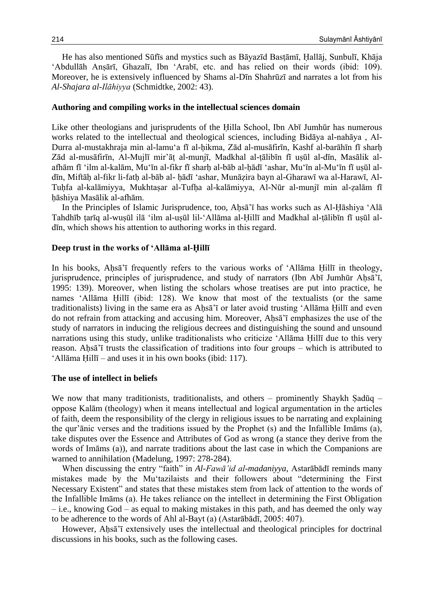He has also mentioned Sūfīs and mystics such as Bāyazīd Basṭāmī, Ḥallāj, Sunbulī, Khāja 'Abdullāh Anṣārī, Ghazalī, Ibn 'Arabī, etc. and has relied on their words (ibid: 109). Moreover, he is extensively influenced by Shams al-Dīn Shahrūzī and narrates a lot from his *Al-Shajara al-Ilāhiyya* (Schmidtke, 2002: 43).

#### **Authoring and compiling works in the intellectual sciences domain**

Like other theologians and jurisprudents of the Ḥilla School, Ibn Abī Jumhūr has numerous works related to the intellectual and theological sciences, including Bidāya al-nahāya , Al-Durra al-mustakhraja min al-lamu'a fī al-ḥikma, Zād al-musāfirīn, Kashf al-barāhīn fī sharḥ Zād al-musāfirīn, Al-Mujlī mir'āṭ al-munjī, Madkhal al-ṭālibīn fī uṣūl al-dīn, Masālik alafhām fī 'ilm al-kalām, Mu'īn al-fikr fī sharḥ al-bāb al-ḥādī 'ashar, Mu'īn al-Mu'īn fī uṣūl aldīn, Miftāḥ al-fikr li-fatḥ al-bāb al- ḥādī 'ashar, Munāẓira bayn al-Gharawī wa al-Harawī, Al-Tuhfa al-kalāmiyya, Mukhtasar al-Tufha al-kalāmiyya, Al-Nūr al-munjī min al-zalām fī ḥāshiya Masālik al-afhām.

In the Principles of Islamic Jurisprudence, too, Ahsā'ī has works such as Al-Hāshiya 'Alā Tahdhīb ṭarīq al-wuṣūl ilā 'ilm al-uṣūl lil-'Allāma al-Ḥillī and Madkhal al-ṭālibīn fī uṣūl aldīn, which shows his attention to authoring works in this regard.

#### **Deep trust in the works of 'Allāma al-Ḥillī**

In his books, Aḥsā'ī frequently refers to the various works of 'Allāma Ḥillī in theology, jurisprudence, principles of jurisprudence, and study of narrators (Ibn Abī Jumhūr Aḥsā'ī, 1995: 139). Moreover, when listing the scholars whose treatises are put into practice, he names 'Allāma Ḥillī (ibid: 128). We know that most of the textualists (or the same traditionalists) living in the same era as Ahsa<sup>'</sup> i or later avoid trusting 'Allāma Hillī and even do not refrain from attacking and accusing him. Moreover, Ahsa'i emphasizes the use of the study of narrators in inducing the religious decrees and distinguishing the sound and unsound narrations using this study, unlike traditionalists who criticize 'Allāma Ḥillī due to this very reason. Ahsā'ī trusts the classification of traditions into four groups – which is attributed to 'Allāma Ḥillī – and uses it in his own books (ibid: 117).

#### **The use of intellect in beliefs**

We now that many traditionists, traditionalists, and others – prominently Shaykh Şadūq – oppose Kalām (theology) when it means intellectual and logical argumentation in the articles of faith, deem the responsibility of the clergy in religious issues to be narrating and explaining the qur'ānic verses and the traditions issued by the Prophet (s) and the Infallible Imāms (a), take disputes over the Essence and Attributes of God as wrong (a stance they derive from the words of Imāms (a)), and narrate traditions about the last case in which the Companions are warned to annihilation (Madelung, 1997: 278-284).

When discussing the entry "faith" in *Al-Fawā'id al-madaniyya*, Astarābādī reminds many mistakes made by the Mu'tazilaists and their followers about "determining the First Necessary Existent" and states that these mistakes stem from lack of attention to the words of the Infallible Imāms (a). He takes reliance on the intellect in determining the First Obligation – i.e., knowing God – as equal to making mistakes in this path, and has deemed the only way to be adherence to the words of Ahl al-Bayt (a) (Astarābādī, 2005: 407).

However, Aḥsā'ī extensively uses the intellectual and theological principles for doctrinal discussions in his books, such as the following cases.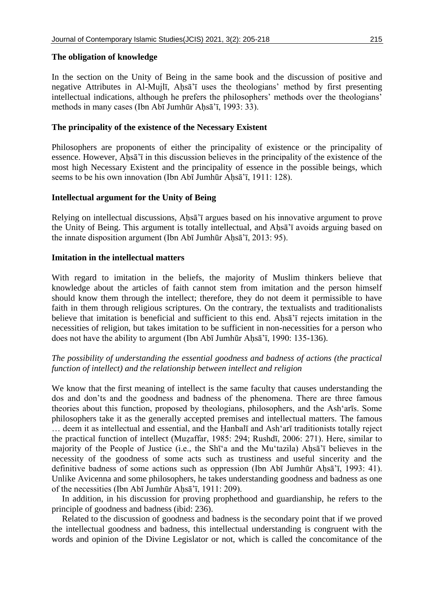# **The obligation of knowledge**

In the section on the Unity of Being in the same book and the discussion of positive and negative Attributes in Al-Mujlī, Ahsā'ī uses the theologians' method by first presenting intellectual indications, although he prefers the philosophers' methods over the theologians' methods in many cases (Ibn Abī Jumhūr Ahsā'ī, 1993: 33).

# **The principality of the existence of the Necessary Existent**

Philosophers are proponents of either the principality of existence or the principality of essence. However, Ahsa'i in this discussion believes in the principality of the existence of the most high Necessary Existent and the principality of essence in the possible beings, which seems to be his own innovation (Ibn Abī Jumhūr Aḥsā'ī, 1911: 128).

# **Intellectual argument for the Unity of Being**

Relying on intellectual discussions, Aḥsā'ī argues based on his innovative argument to prove the Unity of Being. This argument is totally intellectual, and Aḥsā'ī avoids arguing based on the innate disposition argument (Ibn Abī Jumhūr Aḥsā'ī, 2013: 95).

# **Imitation in the intellectual matters**

With regard to imitation in the beliefs, the majority of Muslim thinkers believe that knowledge about the articles of faith cannot stem from imitation and the person himself should know them through the intellect; therefore, they do not deem it permissible to have faith in them through religious scriptures. On the contrary, the textualists and traditionalists believe that imitation is beneficial and sufficient to this end. Ahsa<sup>'</sup><sub>I</sub> rejects imitation in the necessities of religion, but takes imitation to be sufficient in non-necessities for a person who does not have the ability to argument (Ibn Abī Jumhūr Aḥsā'ī, 1990: 135-136).

# *The possibility of understanding the essential goodness and badness of actions (the practical function of intellect) and the relationship between intellect and religion*

We know that the first meaning of intellect is the same faculty that causes understanding the dos and don'ts and the goodness and badness of the phenomena. There are three famous theories about this function, proposed by theologians, philosophers, and the Ash'arīs. Some philosophers take it as the generally accepted premises and intellectual matters. The famous … deem it as intellectual and essential, and the Ḥanbalī and Ash'arī traditionists totally reject the practical function of intellect (Muzaffar, 1985: 294; Rushdī, 2006: 271). Here, similar to majority of the People of Justice (i.e., the Shī'a and the Mu'tazila) Ahsa'ī believes in the necessity of the goodness of some acts such as trustiness and useful sincerity and the definitive badness of some actions such as oppression (Ibn Abī Jumhūr Aḥsā'ī, 1993: 41). Unlike Avicenna and some philosophers, he takes understanding goodness and badness as one of the necessities (Ibn Abī Jumhūr Aḥsā'ī, 1911: 209).

In addition, in his discussion for proving prophethood and guardianship, he refers to the principle of goodness and badness (ibid: 236).

Related to the discussion of goodness and badness is the secondary point that if we proved the intellectual goodness and badness, this intellectual understanding is congruent with the words and opinion of the Divine Legislator or not, which is called the concomitance of the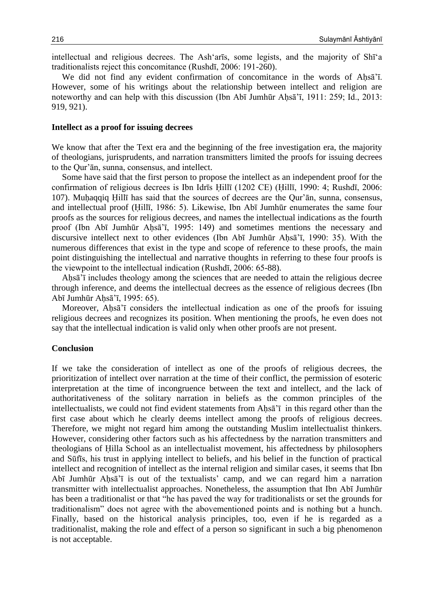intellectual and religious decrees. The Ash'arīs, some legists, and the majority of Shī'a traditionalists reject this concomitance (Rushdī, 2006: 191-260).

We did not find any evident confirmation of concomitance in the words of Ahsa'i. However, some of his writings about the relationship between intellect and religion are noteworthy and can help with this discussion (Ibn Abī Jumhūr Aḥsā'ī, 1911: 259; Id., 2013: 919, 921).

#### **Intellect as a proof for issuing decrees**

We know that after the Text era and the beginning of the free investigation era, the majority of theologians, jurisprudents, and narration transmitters limited the proofs for issuing decrees to the Qur'ān, sunna, consensus, and intellect.

Some have said that the first person to propose the intellect as an independent proof for the confirmation of religious decrees is Ibn Idrīs Ḥillī (1202 CE) (Ḥillī, 1990: 4; Rushdī, 2006: 107). Muḥaqqiq Ḥillī has said that the sources of decrees are the Qur'ān, sunna, consensus, and intellectual proof (Ḥillī, 1986: 5). Likewise, Ibn Abī Jumhūr enumerates the same four proofs as the sources for religious decrees, and names the intellectual indications as the fourth proof (Ibn Abī Jumhūr Aḥsā'ī, 1995: 149) and sometimes mentions the necessary and discursive intellect next to other evidences (Ibn Abī Jumhūr Aḥsā'ī, 1990: 35). With the numerous differences that exist in the type and scope of reference to these proofs, the main point distinguishing the intellectual and narrative thoughts in referring to these four proofs is the viewpoint to the intellectual indication (Rushdī, 2006: 65-88).

Aḥsā'ī includes theology among the sciences that are needed to attain the religious decree through inference, and deems the intellectual decrees as the essence of religious decrees (Ibn Abī Jumhūr Aḥsā'ī, 1995: 65).

Moreover, Ahsa<sup>'</sup><sub>i</sub> considers the intellectual indication as one of the proofs for issuing religious decrees and recognizes its position. When mentioning the proofs, he even does not say that the intellectual indication is valid only when other proofs are not present.

#### **Conclusion**

If we take the consideration of intellect as one of the proofs of religious decrees, the prioritization of intellect over narration at the time of their conflict, the permission of esoteric interpretation at the time of incongruence between the text and intellect, and the lack of authoritativeness of the solitary narration in beliefs as the common principles of the intellectualists, we could not find evident statements from Aḥsā'ī in this regard other than the first case about which he clearly deems intellect among the proofs of religious decrees. Therefore, we might not regard him among the outstanding Muslim intellectualist thinkers. However, considering other factors such as his affectedness by the narration transmitters and theologians of Ḥilla School as an intellectualist movement, his affectedness by philosophers and Sūfīs, his trust in applying intellect to beliefs, and his belief in the function of practical intellect and recognition of intellect as the internal religion and similar cases, it seems that Ibn Abī Jumhūr Aḥsā'ī is out of the textualists' camp, and we can regard him a narration transmitter with intellectualist approaches. Nonetheless, the assumption that Ibn Abī Jumhūr has been a traditionalist or that "he has paved the way for traditionalists or set the grounds for traditionalism" does not agree with the abovementioned points and is nothing but a hunch. Finally, based on the historical analysis principles, too, even if he is regarded as a traditionalist, making the role and effect of a person so significant in such a big phenomenon is not acceptable.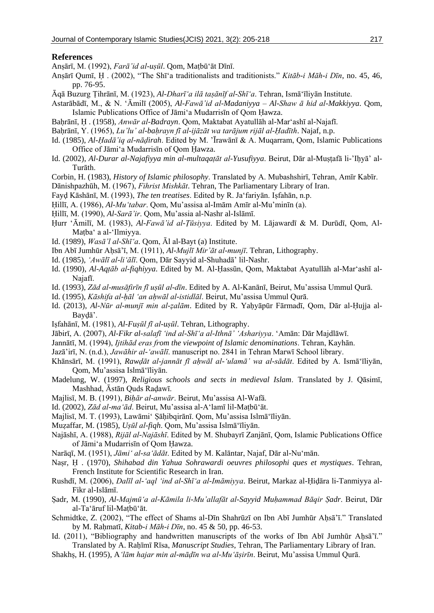#### **References**

Anṣārī, M. (1992), *Farā'id al-uṣūl*. Qom, Maṭbū'āt Dīnī.

- Anṣārī Qumī, Ḥ . (2002), "The Shī'a traditionalists and traditionists." *Kitāb-i Māh-i Dīn*, no. 45, 46, pp. 76-95.
- Āqā Buzurg Ṭihrānī, M. (1923), *Al-Dharī'a ilā taṣānīf al-Shī'a*. Tehran, Ismā'īliyān Institute.
- Astarābādī, M., & N. 'Āmilī (2005), *Al-Fawā'id al-Madaniyya – Al-Shaw ā hid al-Makkiyya*. Qom, Islamic Publications Office of Jāmi'a Mudarrisīn of Qom Ḥawza.
- Baḥrānī, Ḥ . (1958), *Anwār al-Badrayn*. Qom, Maktabat Ayatullāh al-Mar'ashī al-Najafī.
- Baḥrānī, Y. (1965), *Lu'lu' al-baḥrayn fī al-ijāzāt wa tarājum rijāl al-Ḥadīth*. Najaf, n.p.
- Id. (1985), *Al-Ḥadā'iq al-nāḍirah*. Edited by M. 'Īrawānī & A. Muqarram, Qom, Islamic Publications Office of Jāmi'a Mudarrisīn of Qom Ḥawza.
- Id. (2002), *Al-Durar al-Najafiyya min al-multaqaṭāt al-Yusufiyya*. Beirut, Dār al-Muṣṭafā li-'Iḥyā' al-Turāth.
- Corbin, H. (1983), *History of Islamic philosophy*. Translated by A. Mubashshirī, Tehran, Amīr Kabīr.
- Dānishpazhūh, M. (1967), *Fihrist Mishkāt*. Tehran, The Parliamentary Library of Iran.
- Fayḍ Kāshānī, M. (1993), *The ten treatises*. Edited by R. Ja'fariyān. Iṣfahān, n.p.
- Ḥillī, A. (1986), *Al-Mu'tabar*. Qom, Mu'assisa al-Imām Amīr al-Mu'minīn (a).
- Ḥillī, M. (1990), *Al-Sarā'ir*. Qom, Mu'assia al-Nashr al-Islāmī.
- Ḥurr 'Āmilī, M. (1983), *Al-Fawā'id al-Ṭūsiyya*. Edited by M. Lājawardī & M. Durūdī, Qom, Al-Maṭba' a al-'Ilmiyya.
- Id. (1989), *Wasā'l al-Shī'a*. Qom, Āl al-Bayt (a) Institute.
- Ibn Abī Jumhūr Aḥsā'ī, M. (1911), *Al-Mujlī Mir'āt al-munjī*. Tehran, Lithography.
- Id. (1985), *'Awālī al-li'ālī*. Qom, Dār Sayyid al-Shuhadā' lil-Nashr.
- Id. (1990), *Al-Aqṭāb al-fiqhiyya*. Edited by M. Al-Ḥassūn, Qom, Maktabat Ayatullāh al-Mar'ashī al-Najafī.
- Id. (1993), *Zād al-musāfirīn fī uṣūl al-dīn*. Edited by A. Al-Kanānī, Beirut, Mu'assisa Ummul Qurā.
- Id. (1995), *Kāshifa al-ḥāl 'an aḥwāl al-istidlāl*. Beirut, Mu'assisa Ummul Qurā.
- Id. (2013), *Al-Nūr al-munjī min al-ẓalām*. Edited by R. Yaḥyāpūr Fārmadī, Qom, Dār al-Ḥujja al-Bayḍā'.
- Iṣfahānī, M. (1981), *Al-Fuṣūl fī al-uṣūl*. Tehran, Lithography.
- Jābirī, A. (2007), *Al-Fikr al-salafī 'ind al-Shī'a al-Ithnā' 'Ashariyya*. 'Amān: Dār Majdlāwī.
- Jannātī, M. (1994), *Ijtihād eras from the viewpoint of Islamic denominations*. Tehran, Kayhān.
- Jazā'irī, N. (n.d.), *Jawāhir al-'awālī*. manuscript no. 2841 in Tehran Marwī School library.
- Khānsārī, M. (1991), *Rawḍāt al-jannāt fī aḥwāl al-'ulamā' wa al-sādāt*. Edited by A. Ismā'īliyān, Qom, Mu'assisa Islmā'īliyān.
- Madelung, W. (1997), *Religious schools and sects in medieval Islam*. Translated by J. Qāsimī, Mashhad, Āstān Quds Raḍawī.
- Majlisī, M. B. (1991), *Biḥār al-anwār*. Beirut, Mu'assisa Al-Wafā.
- Id. (2002), *Zād al-ma'ād*. Beirut, Mu'assisa al-A'lamī lil-Maṭbū'āt.
- Majlisī, M. T. (1993), Lawāmi' Ṣāḥibqirānī. Qom, Mu'assisa Islmā'īliyān.
- Muẓaffar, M. (1985), *Uṣūl al-fiqh*. Qom, Mu'assisa Islmā'īliyān.
- Najāshī, A. (1988), *Rijāl al-Najāshī*. Edited by M. Shubayrī Zanjānī, Qom, Islamic Publications Office of Jāmi'a Mudarrisīn of Qom Ḥawza.
- Narāqī, M. (1951), *Jāmi' al-sa'ādāt*. Edited by M. Kalāntar, Najaf, Dār al-Nu'mān.
- Naṣr, Ḥ . (1970), *Shihabad din Yahua Sohrawardi oeuvres philosophi ques et mystiques*. Tehran, French Institute for Scientific Research in Iran.
- Rushdī, M. (2006), *Dalīl al-'aql 'ind al-Shī'a al-Imāmiyya*. Beirut, Markaz al-Ḥiḍāra li-Tanmiyya al-Fikr al-Islāmī.
- Ṣadr, M. (1990), *Al-Majmū'a al-Kāmila li-Mu'allafāt al-Sayyid Muḥammad Bāqir Ṣadr*. Beirut, Dār al-Ta'āruf lil-Maṭbū'āt.
- Schmidtke, Z. (2002), "The effect of Shams al-Dīn Shahrūzī on Ibn Abī Jumhūr Ahsā'ī." Translated by M. Raḥmatī, *Kitab-i Māh-i Dīn*, no. 45 & 50, pp. 46-53.
- Id. (2011), "Bibliography and handwritten manuscripts of the works of Ibn Abī Jumhūr Aḥsā'ī." Translated by A. Raḥīmī Rīsa, *Manuscript Studies*, Tehran, The Parliamentary Library of Iran.
- Shakhṣ, H. (1995), A*'lām hajar min al-māḍīn wa al-Mu'āṣirīn*. Beirut, Mu'assisa Ummul Qurā.